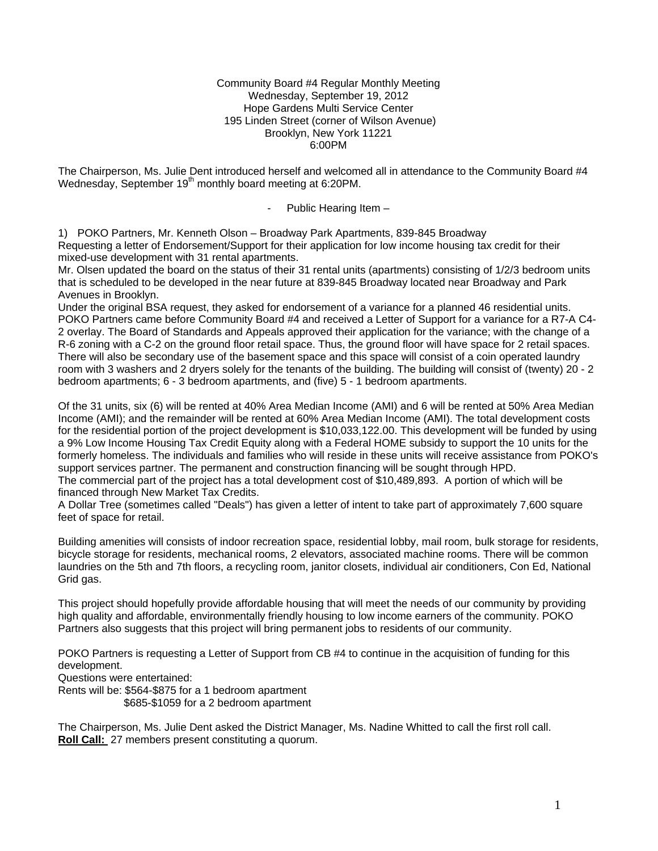#### Community Board #4 Regular Monthly Meeting Wednesday, September 19, 2012 Hope Gardens Multi Service Center 195 Linden Street (corner of Wilson Avenue) Brooklyn, New York 11221 6:00PM

The Chairperson, Ms. Julie Dent introduced herself and welcomed all in attendance to the Community Board #4 Wednesday, September 19<sup>th</sup> monthly board meeting at 6:20PM.

- Public Hearing Item –

1) POKO Partners, Mr. Kenneth Olson – Broadway Park Apartments, 839-845 Broadway Requesting a letter of Endorsement/Support for their application for low income housing tax credit for their mixed-use development with 31 rental apartments.

Mr. Olsen updated the board on the status of their 31 rental units (apartments) consisting of 1/2/3 bedroom units that is scheduled to be developed in the near future at 839-845 Broadway located near Broadway and Park Avenues in Brooklyn.

Under the original BSA request, they asked for endorsement of a variance for a planned 46 residential units. POKO Partners came before Community Board #4 and received a Letter of Support for a variance for a R7-A C4- 2 overlay. The Board of Standards and Appeals approved their application for the variance; with the change of a R-6 zoning with a C-2 on the ground floor retail space. Thus, the ground floor will have space for 2 retail spaces. There will also be secondary use of the basement space and this space will consist of a coin operated laundry room with 3 washers and 2 dryers solely for the tenants of the building. The building will consist of (twenty) 20 - 2 bedroom apartments; 6 - 3 bedroom apartments, and (five) 5 - 1 bedroom apartments.

Of the 31 units, six (6) will be rented at 40% Area Median Income (AMI) and 6 will be rented at 50% Area Median Income (AMI); and the remainder will be rented at 60% Area Median Income (AMI). The total development costs for the residential portion of the project development is \$10,033,122.00. This development will be funded by using a 9% Low Income Housing Tax Credit Equity along with a Federal HOME subsidy to support the 10 units for the formerly homeless. The individuals and families who will reside in these units will receive assistance from POKO's support services partner. The permanent and construction financing will be sought through HPD.

The commercial part of the project has a total development cost of \$10,489,893. A portion of which will be financed through New Market Tax Credits.

A Dollar Tree (sometimes called "Deals") has given a letter of intent to take part of approximately 7,600 square feet of space for retail.

Building amenities will consists of indoor recreation space, residential lobby, mail room, bulk storage for residents, bicycle storage for residents, mechanical rooms, 2 elevators, associated machine rooms. There will be common laundries on the 5th and 7th floors, a recycling room, janitor closets, individual air conditioners, Con Ed, National Grid gas.

This project should hopefully provide affordable housing that will meet the needs of our community by providing high quality and affordable, environmentally friendly housing to low income earners of the community. POKO Partners also suggests that this project will bring permanent jobs to residents of our community.

POKO Partners is requesting a Letter of Support from CB #4 to continue in the acquisition of funding for this development.

Questions were entertained:

Rents will be: \$564-\$875 for a 1 bedroom apartment \$685-\$1059 for a 2 bedroom apartment

The Chairperson, Ms. Julie Dent asked the District Manager, Ms. Nadine Whitted to call the first roll call. **Roll Call:** 27 members present constituting a quorum.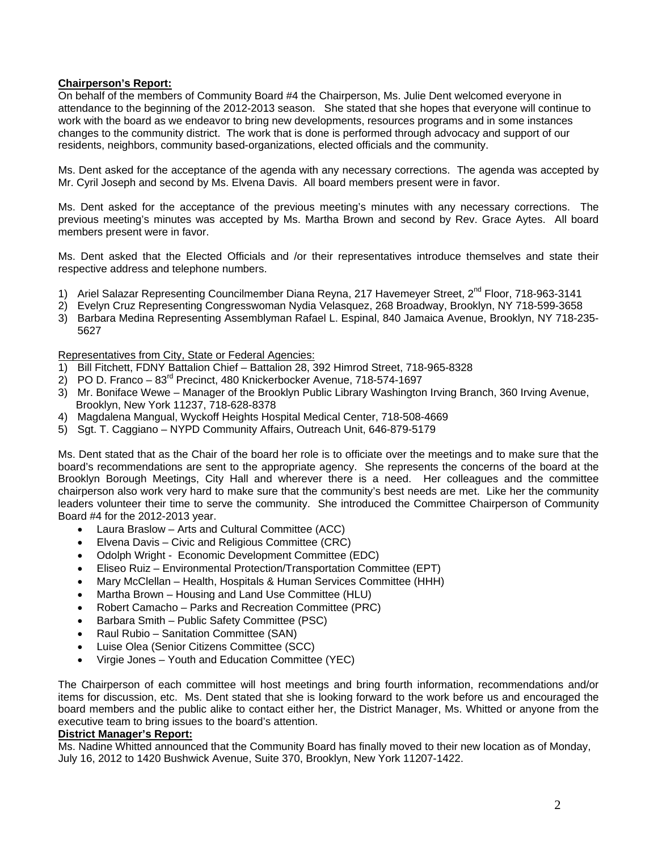## **Chairperson's Report:**

On behalf of the members of Community Board #4 the Chairperson, Ms. Julie Dent welcomed everyone in attendance to the beginning of the 2012-2013 season. She stated that she hopes that everyone will continue to work with the board as we endeavor to bring new developments, resources programs and in some instances changes to the community district. The work that is done is performed through advocacy and support of our residents, neighbors, community based-organizations, elected officials and the community.

Ms. Dent asked for the acceptance of the agenda with any necessary corrections. The agenda was accepted by Mr. Cyril Joseph and second by Ms. Elvena Davis. All board members present were in favor.

Ms. Dent asked for the acceptance of the previous meeting's minutes with any necessary corrections. The previous meeting's minutes was accepted by Ms. Martha Brown and second by Rev. Grace Aytes. All board members present were in favor.

Ms. Dent asked that the Elected Officials and /or their representatives introduce themselves and state their respective address and telephone numbers.

- 1) Ariel Salazar Representing Councilmember Diana Reyna, 217 Havemeyer Street, 2<sup>nd</sup> Floor, 718-963-3141
- 2) Evelyn Cruz Representing Congresswoman Nydia Velasquez, 268 Broadway, Brooklyn, NY 718-599-3658
- 3) Barbara Medina Representing Assemblyman Rafael L. Espinal, 840 Jamaica Avenue, Brooklyn, NY 718-235- 5627

### Representatives from City, State or Federal Agencies:

- 1) Bill Fitchett, FDNY Battalion Chief Battalion 28, 392 Himrod Street, 718-965-8328
- $2)$  PO D. Franco 83<sup>rd</sup> Precinct, 480 Knickerbocker Avenue, 718-574-1697
- 3) Mr. Boniface Wewe Manager of the Brooklyn Public Library Washington Irving Branch, 360 Irving Avenue, Brooklyn, New York 11237, 718-628-8378
- 4) Magdalena Mangual, Wyckoff Heights Hospital Medical Center, 718-508-4669
- 5) Sgt. T. Caggiano NYPD Community Affairs, Outreach Unit, 646-879-5179

Ms. Dent stated that as the Chair of the board her role is to officiate over the meetings and to make sure that the board's recommendations are sent to the appropriate agency. She represents the concerns of the board at the Brooklyn Borough Meetings, City Hall and wherever there is a need. Her colleagues and the committee chairperson also work very hard to make sure that the community's best needs are met. Like her the community leaders volunteer their time to serve the community. She introduced the Committee Chairperson of Community Board #4 for the 2012-2013 year.

- Laura Braslow Arts and Cultural Committee (ACC)
- Elvena Davis Civic and Religious Committee (CRC)
- Odolph Wright Economic Development Committee (EDC)
- Eliseo Ruiz Environmental Protection/Transportation Committee (EPT)
- Mary McClellan Health, Hospitals & Human Services Committee (HHH)
- Martha Brown Housing and Land Use Committee (HLU)
- Robert Camacho Parks and Recreation Committee (PRC)
- Barbara Smith Public Safety Committee (PSC)
- Raul Rubio Sanitation Committee (SAN)
- Luise Olea (Senior Citizens Committee (SCC)
- Virgie Jones Youth and Education Committee (YEC)

The Chairperson of each committee will host meetings and bring fourth information, recommendations and/or items for discussion, etc. Ms. Dent stated that she is looking forward to the work before us and encouraged the board members and the public alike to contact either her, the District Manager, Ms. Whitted or anyone from the executive team to bring issues to the board's attention.

#### **District Manager's Report:**

Ms. Nadine Whitted announced that the Community Board has finally moved to their new location as of Monday, July 16, 2012 to 1420 Bushwick Avenue, Suite 370, Brooklyn, New York 11207-1422.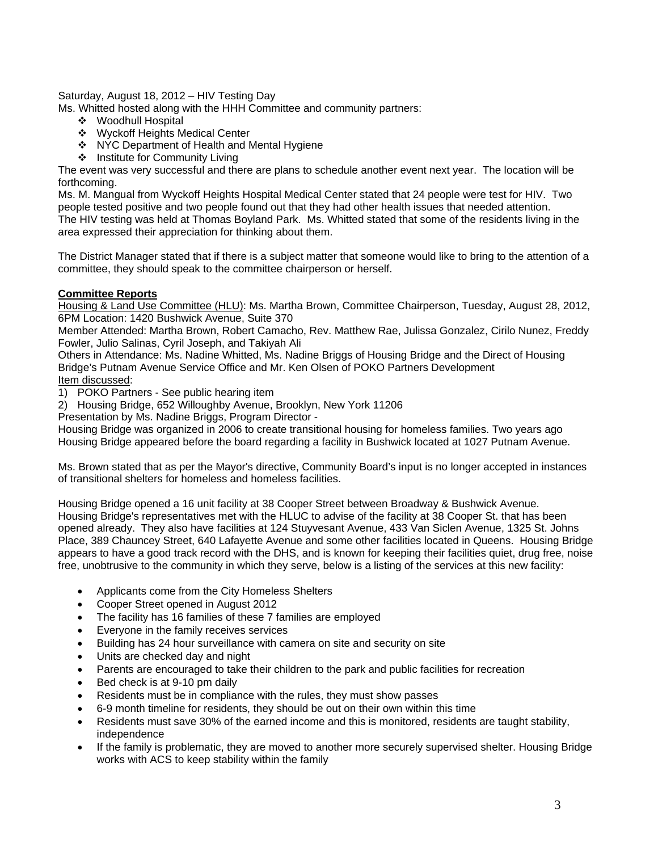Saturday, August 18, 2012 – HIV Testing Day

Ms. Whitted hosted along with the HHH Committee and community partners:

- Woodhull Hospital
- Wyckoff Heights Medical Center
- ❖ NYC Department of Health and Mental Hygiene
- ❖ Institute for Community Living

The event was very successful and there are plans to schedule another event next year. The location will be forthcoming.

Ms. M. Mangual from Wyckoff Heights Hospital Medical Center stated that 24 people were test for HIV. Two people tested positive and two people found out that they had other health issues that needed attention.

The HIV testing was held at Thomas Boyland Park. Ms. Whitted stated that some of the residents living in the area expressed their appreciation for thinking about them.

The District Manager stated that if there is a subject matter that someone would like to bring to the attention of a committee, they should speak to the committee chairperson or herself.

### **Committee Reports**

Housing & Land Use Committee (HLU): Ms. Martha Brown, Committee Chairperson, Tuesday, August 28, 2012, 6PM Location: 1420 Bushwick Avenue, Suite 370

Member Attended: Martha Brown, Robert Camacho, Rev. Matthew Rae, Julissa Gonzalez, Cirilo Nunez, Freddy Fowler, Julio Salinas, Cyril Joseph, and Takiyah Ali

Others in Attendance: Ms. Nadine Whitted, Ms. Nadine Briggs of Housing Bridge and the Direct of Housing Bridge's Putnam Avenue Service Office and Mr. Ken Olsen of POKO Partners Development Item discussed:

1) POKO Partners - See public hearing item

2) Housing Bridge, 652 Willoughby Avenue, Brooklyn, New York 11206

Presentation by Ms. Nadine Briggs, Program Director -

Housing Bridge was organized in 2006 to create transitional housing for homeless families. Two years ago Housing Bridge appeared before the board regarding a facility in Bushwick located at 1027 Putnam Avenue.

Ms. Brown stated that as per the Mayor's directive, Community Board's input is no longer accepted in instances of transitional shelters for homeless and homeless facilities.

Housing Bridge opened a 16 unit facility at 38 Cooper Street between Broadway & Bushwick Avenue. Housing Bridge's representatives met with the HLUC to advise of the facility at 38 Cooper St. that has been opened already. They also have facilities at 124 Stuyvesant Avenue, 433 Van Siclen Avenue, 1325 St. Johns Place, 389 Chauncey Street, 640 Lafayette Avenue and some other facilities located in Queens. Housing Bridge appears to have a good track record with the DHS, and is known for keeping their facilities quiet, drug free, noise free, unobtrusive to the community in which they serve, below is a listing of the services at this new facility:

- Applicants come from the City Homeless Shelters
- Cooper Street opened in August 2012
- The facility has 16 families of these 7 families are employed
- Everyone in the family receives services
- Building has 24 hour surveillance with camera on site and security on site
- Units are checked day and night
- Parents are encouraged to take their children to the park and public facilities for recreation
- Bed check is at 9-10 pm daily
- Residents must be in compliance with the rules, they must show passes
- 6-9 month timeline for residents, they should be out on their own within this time
- Residents must save 30% of the earned income and this is monitored, residents are taught stability, independence
- If the family is problematic, they are moved to another more securely supervised shelter. Housing Bridge works with ACS to keep stability within the family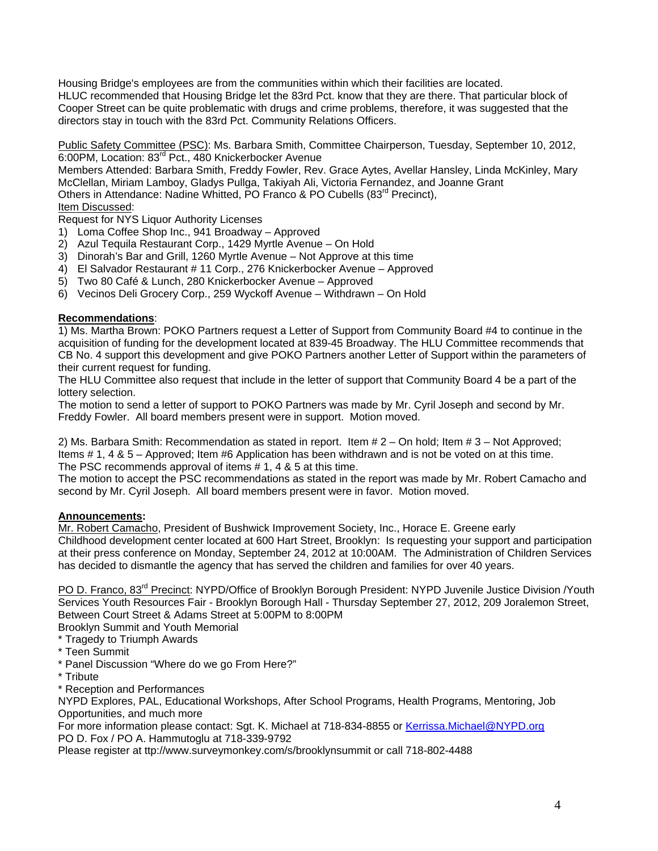Housing Bridge's employees are from the communities within which their facilities are located. HLUC recommended that Housing Bridge let the 83rd Pct. know that they are there. That particular block of Cooper Street can be quite problematic with drugs and crime problems, therefore, it was suggested that the directors stay in touch with the 83rd Pct. Community Relations Officers.

Public Safety Committee (PSC): Ms. Barbara Smith, Committee Chairperson, Tuesday, September 10, 2012, 6:00PM, Location: 83rd Pct., 480 Knickerbocker Avenue

Members Attended: Barbara Smith, Freddy Fowler, Rev. Grace Aytes, Avellar Hansley, Linda McKinley, Mary McClellan, Miriam Lamboy, Gladys Pullga, Takiyah Ali, Victoria Fernandez, and Joanne Grant Others in Attendance: Nadine Whitted, PO Franco & PO Cubells (83<sup>rd</sup> Precinct),

# Item Discussed:

Request for NYS Liquor Authority Licenses

- 1) Loma Coffee Shop Inc., 941 Broadway Approved
- 2) Azul Tequila Restaurant Corp., 1429 Myrtle Avenue On Hold
- 3) Dinorah's Bar and Grill, 1260 Myrtle Avenue Not Approve at this time
- 4) El Salvador Restaurant # 11 Corp., 276 Knickerbocker Avenue Approved
- 5) Two 80 Café & Lunch, 280 Knickerbocker Avenue Approved
- 6) Vecinos Deli Grocery Corp., 259 Wyckoff Avenue Withdrawn On Hold

# **Recommendations**:

1) Ms. Martha Brown: POKO Partners request a Letter of Support from Community Board #4 to continue in the acquisition of funding for the development located at 839-45 Broadway. The HLU Committee recommends that CB No. 4 support this development and give POKO Partners another Letter of Support within the parameters of their current request for funding.

The HLU Committee also request that include in the letter of support that Community Board 4 be a part of the lottery selection.

The motion to send a letter of support to POKO Partners was made by Mr. Cyril Joseph and second by Mr. Freddy Fowler. All board members present were in support. Motion moved.

2) Ms. Barbara Smith: Recommendation as stated in report. Item # 2 – On hold; Item # 3 – Not Approved; Items # 1, 4 & 5 – Approved; Item #6 Application has been withdrawn and is not be voted on at this time. The PSC recommends approval of items # 1, 4 & 5 at this time.

The motion to accept the PSC recommendations as stated in the report was made by Mr. Robert Camacho and second by Mr. Cyril Joseph. All board members present were in favor. Motion moved.

## **Announcements:**

Mr. Robert Camacho, President of Bushwick Improvement Society, Inc., Horace E. Greene early Childhood development center located at 600 Hart Street, Brooklyn: Is requesting your support and participation at their press conference on Monday, September 24, 2012 at 10:00AM. The Administration of Children Services has decided to dismantle the agency that has served the children and families for over 40 years.

PO D. Franco, 83<sup>rd</sup> Precinct: NYPD/Office of Brooklyn Borough President: NYPD Juvenile Justice Division /Youth Services Youth Resources Fair - Brooklyn Borough Hall - Thursday September 27, 2012, 209 Joralemon Street, Between Court Street & Adams Street at 5:00PM to 8:00PM

Brooklyn Summit and Youth Memorial

- \* Tragedy to Triumph Awards
- \* Teen Summit
- \* Panel Discussion "Where do we go From Here?"
- \* Tribute

\* Reception and Performances

NYPD Explores, PAL, Educational Workshops, After School Programs, Health Programs, Mentoring, Job Opportunities, and much more

For more information please contact: Sgt. K. Michael at 718-834-8855 or [Kerrissa.Michael@NYPD.org](mailto:Kerrissa.Michael@NYPD.org)  PO D. Fox / PO A. Hammutoglu at 718-339-9792

Please register at ttp://www.surveymonkey.com/s/brooklynsummit or call 718-802-4488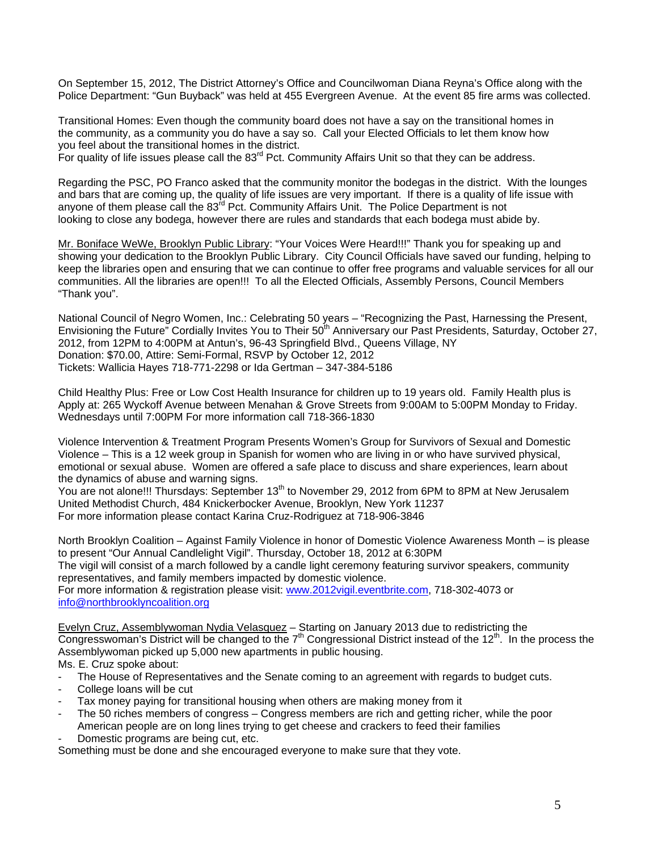On September 15, 2012, The District Attorney's Office and Councilwoman Diana Reyna's Office along with the Police Department: "Gun Buyback" was held at 455 Evergreen Avenue. At the event 85 fire arms was collected.

Transitional Homes: Even though the community board does not have a say on the transitional homes in the community, as a community you do have a say so. Call your Elected Officials to let them know how you feel about the transitional homes in the district.

For quality of life issues please call the 83<sup>rd</sup> Pct. Community Affairs Unit so that they can be address.

Regarding the PSC, PO Franco asked that the community monitor the bodegas in the district. With the lounges and bars that are coming up, the quality of life issues are very important. If there is a quality of life issue with anyone of them please call the  $83<sup>rd</sup>$  Pct. Community Affairs Unit. The Police Department is not looking to close any bodega, however there are rules and standards that each bodega must abide by.

Mr. Boniface WeWe, Brooklyn Public Library: "Your Voices Were Heard!!!" Thank you for speaking up and showing your dedication to the Brooklyn Public Library. City Council Officials have saved our funding, helping to keep the libraries open and ensuring that we can continue to offer free programs and valuable services for all our communities. All the libraries are open!!! To all the Elected Officials, Assembly Persons, Council Members "Thank you".

National Council of Negro Women, Inc.: Celebrating 50 years – "Recognizing the Past, Harnessing the Present, Envisioning the Future" Cordially Invites You to Their 50<sup>th</sup> Anniversary our Past Presidents, Saturday, October 27, 2012, from 12PM to 4:00PM at Antun's, 96-43 Springfield Blvd., Queens Village, NY Donation: \$70.00, Attire: Semi-Formal, RSVP by October 12, 2012 Tickets: Wallicia Hayes 718-771-2298 or Ida Gertman – 347-384-5186

Child Healthy Plus: Free or Low Cost Health Insurance for children up to 19 years old. Family Health plus is Apply at: 265 Wyckoff Avenue between Menahan & Grove Streets from 9:00AM to 5:00PM Monday to Friday. Wednesdays until 7:00PM For more information call 718-366-1830

Violence Intervention & Treatment Program Presents Women's Group for Survivors of Sexual and Domestic Violence – This is a 12 week group in Spanish for women who are living in or who have survived physical, emotional or sexual abuse. Women are offered a safe place to discuss and share experiences, learn about the dynamics of abuse and warning signs.

You are not alone!!! Thursdays: September 13<sup>th</sup> to November 29, 2012 from 6PM to 8PM at New Jerusalem United Methodist Church, 484 Knickerbocker Avenue, Brooklyn, New York 11237 For more information please contact Karina Cruz-Rodriguez at 718-906-3846

North Brooklyn Coalition – Against Family Violence in honor of Domestic Violence Awareness Month – is please to present "Our Annual Candlelight Vigil". Thursday, October 18, 2012 at 6:30PM The vigil will consist of a march followed by a candle light ceremony featuring survivor speakers, community representatives, and family members impacted by domestic violence.

For more information & registration please visit: [www.2012vigil.eventbrite.com,](http://www.2012vigil.eventbrite.com/) 718-302-4073 or [info@northbrooklyncoalition.org](mailto:info@northbrooklyncoalition.org)

Evelyn Cruz, Assemblywoman Nydia Velasquez – Starting on January 2013 due to redistricting the Congresswoman's District will be changed to the  $7<sup>th</sup>$  Congressional District instead of the 12<sup>th</sup>. In the process the Assemblywoman picked up 5,000 new apartments in public housing. Ms. E. Cruz spoke about:

- The House of Representatives and the Senate coming to an agreement with regards to budget cuts.
- College loans will be cut
- Tax money paying for transitional housing when others are making money from it
- The 50 riches members of congress Congress members are rich and getting richer, while the poor American people are on long lines trying to get cheese and crackers to feed their families
- Domestic programs are being cut, etc.

Something must be done and she encouraged everyone to make sure that they vote.